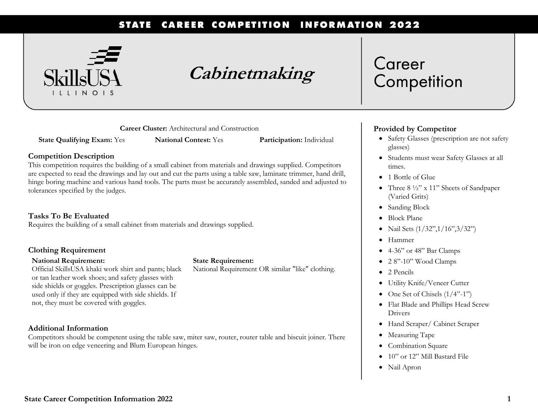#### STATE CAREER COMPETITION **INFORMATION 2022**



## **Cabinetmaking**

**Career Cluster:** Architectural and Construction

**State Qualifying Exam:** Yes **National Contest:** Yes **Participation:** Individual

#### **Competition Description**

This competition requires the building of a small cabinet from materials and drawings supplied. Competitors are expected to read the drawings and lay out and cut the parts using a table saw, laminate trimmer, hand drill, hinge boring machine and various hand tools. The parts must be accurately assembled, sanded and adjusted to tolerances specified by the judges.

### **Tasks To Be Evaluated**

Requires the building of a small cabinet from materials and drawings supplied.

#### **Clothing Requirement**

#### **National Requirement:**

Official SkillsUSA khaki work shirt and pants; black or tan leather work shoes; and safety glasses with side shields or goggles. Prescription glasses can be used only if they are equipped with side shields. If not, they must be covered with goggles.

#### **Additional Information**

Competitors should be competent using the table saw, miter saw, router, router table and biscuit joiner. There will be iron on edge veneering and Blum European hinges.

**State Requirement:**

National Requirement OR similar "like" clothing.

### Career Competition

### **Provided by Competitor**

- Safety Glasses (prescription are not safety glasses)
- Students must wear Safety Glasses at all times.
- 1 Bottle of Glue
- Three 8 ½" x 11" Sheets of Sandpaper (Varied Grits)
- Sanding Block
- Block Plane
- Nail Sets (1/32", 1/16", 3/32")
- Hammer
- 4-36" or 48" Bar Clamps
- $\bullet$  2 8"-10" Wood Clamps
- 2 Pencils
- Utility Knife/Veneer Cutter
- One Set of Chisels  $(1/4"$ -1")
- Flat Blade and Phillips Head Screw Drivers
- Hand Scraper/ Cabinet Scraper
- Measuring Tape
- Combination Square
- 10" or 12" Mill Bastard File
- Nail Apron